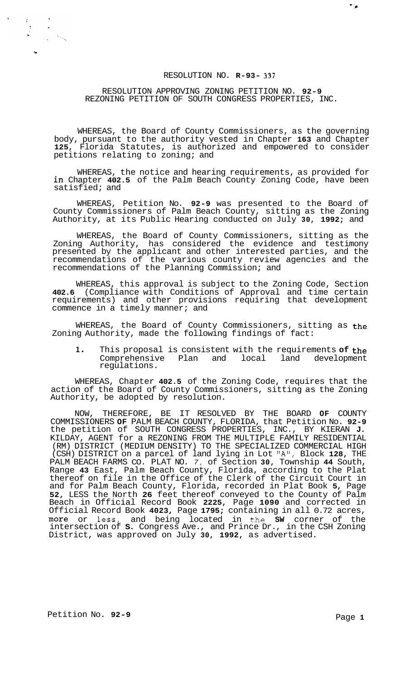## RESOLUTION NO. **R-93- 337**

## RESOLUTION APPROVING ZONING PETITION NO. **92-9**  REZONING PETITION OF SOUTH CONGRESS PROPERTIES, INC.

WHEREAS, the Board of County Commissioners, as the governing body, pursuant to the authority vested in Chapter **163** and Chapter **125,** Florida Statutes, is authorized and empowered to consider petitions relating to zoning; and

WHEREAS, the notice and hearing requirements, as provided for in Chapter **402.5** of the Palm Beach County Zoning Code, have been satisfied; and

WHEREAS, Petition No. **92-9** was presented to the Board of County Commissioners of Palm Beach County, sitting as the Zoning Authority, at its Public Hearing conducted on July **30, 1992;** and

WHEREAS, the Board of County Commissioners, sitting as the Zoning Authority, has considered the evidence and testimony presented by the applicant and other interested parties, and the recommendations of the various county review agencies and the recommendations of the Planning Commission; and

WHEREAS, this approval is subject to the Zoning Code, Section **402.6** (Compliance with Conditions of Approval and time certain requirements) and other provisions requiring that development commence in a timely manner; and

WHEREAS, the Board of County Commissioners, sitting as the Zoning Authority, made the following findings of fact:

**1.** This proposal is consistent with the requirements **of** the Comprehensive Plan and local land development regulations.

WHEREAS, Chapter **402.5** of the Zoning Code, requires that the action of the Board of County Commissioners, sitting as the Zoning Authority, be adopted by resolution.

NOW, THEREFORE, BE IT RESOLVED BY THE BOARD **OF** COUNTY COMMISSIONERS **OF** PALM BEACH COUNTY, FLORIDA, that Petition No. **92-9**  the petition of SOUTH CONGRESS PROPERTIES, INC., BY KIERAN **J.**  KILDAY, AGENT for a REZONING FROM THE MULTIPLE FAMILY RESIDENTIAL (RM) DISTRICT (MEDIUM DENSITY) TO THE SPECIALIZED COMMERCIAL HIGH (CSH) DISTRICT on a parcel of land lying in Lot "A", Block 128, THE PALM BEACH FARMS CO. PLAT NO. *7,* of Section **30,** Township **44** South, Range **43** East, Palm Beach County, Florida, according to the Plat thereof on file in the Office of the Clerk of the Circuit Court in and for Palm Beach County, Florida, recorded in Plat Book **5,** Page **52,** LESS the North **26** feet thereof conveyed to the County of Palm Beach in Official Record Book **2225,** Page **1090** and corrected in Official Record Book **4023,** Page **1795;** containing in all 0.72 acres, more or less, and being located in the SW corner of the intersection of **S.** Congress Ave., and Prince Dr., in the CSH Zoning District, was approved on July **30, 1992,** as advertised.

 $\begin{array}{c} x_1 = -x_1 \\ y_1 = -x_1 \\ y_2 = -x_1 \end{array}$ 

 $\sim$ 

 $\bullet$  .